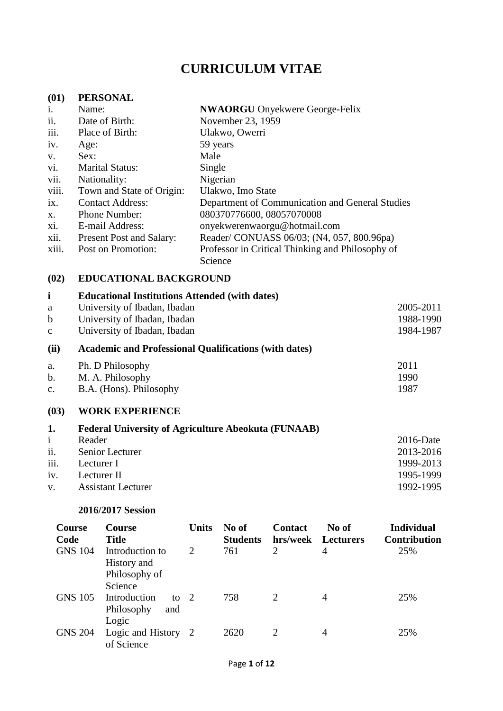# **CURRICULUM VITAE**

### **(01) PERSONAL**

| i.    | Name:                           | <b>NWAORGU</b> Onyekwere George-Felix            |
|-------|---------------------------------|--------------------------------------------------|
| ii.   | Date of Birth:                  | November 23, 1959                                |
| iii.  | Place of Birth:                 | Ulakwo, Owerri                                   |
| iv.   | Age:                            | 59 years                                         |
| V.    | Sex:                            | Male                                             |
| vi.   | <b>Marital Status:</b>          | Single                                           |
| vii.  | Nationality:                    | Nigerian                                         |
| viii. | Town and State of Origin:       | Ulakwo, Imo State                                |
| ix.   | <b>Contact Address:</b>         | Department of Communication and General Studies  |
| X.    | Phone Number:                   | 080370776600, 08057070008                        |
| xi.   | E-mail Address:                 | onyekwerenwaorgu@hotmail.com                     |
| xii.  | <b>Present Post and Salary:</b> | Reader/ CONUASS 06/03; (N4, 057, 800.96pa)       |
| xiii. | Post on Promotion:              | Professor in Critical Thinking and Philosophy of |
|       |                                 | Science                                          |

# **(02) EDUCATIONAL BACKGROUND**

| $\mathbf{i}$   | <b>Educational Institutions Attended (with dates)</b>        |              |
|----------------|--------------------------------------------------------------|--------------|
| a              | University of Ibadan, Ibadan                                 | 2005-2011    |
| $\mathbf b$    | University of Ibadan, Ibadan                                 | 1988-1990    |
| $\mathbf{C}$   | University of Ibadan, Ibadan                                 | 1984-1987    |
| (ii)           | <b>Academic and Professional Qualifications (with dates)</b> |              |
| a.             | Ph. D Philosophy                                             | 2011         |
| $\mathbf b$ .  | M. A. Philosophy                                             | 1990         |
| $\mathbf{c}$ . | B.A. (Hons). Philosophy                                      | 1987         |
| (03)           | <b>WORK EXPERIENCE</b>                                       |              |
| 1.             | <b>Federal University of Agriculture Abeokuta (FUNAAB)</b>   |              |
| $\mathbf{i}$   | Reader                                                       | $2016$ -Date |
| ii.            | Senior Lecturer                                              | 2013-2016    |
| iii.           | Lecturer I                                                   | 1999-2013    |
| iv.            | Lecturer II                                                  | 1995-1999    |

v. Assistant Lecturer 1992-1995

#### **2016/2017 Session**

| Course<br>Code | Course<br><b>Title</b>                                     | <b>Units</b> | No of<br><b>Students</b> | <b>Contact</b><br>hrs/week  | No of<br><b>Lecturers</b> | <b>Individual</b><br><b>Contribution</b> |
|----------------|------------------------------------------------------------|--------------|--------------------------|-----------------------------|---------------------------|------------------------------------------|
| <b>GNS 104</b> | Introduction to<br>History and<br>Philosophy of<br>Science | 2            | 761                      | 2                           | 4                         | 25%                                      |
| <b>GNS 105</b> | Introduction<br>to $2$<br>Philosophy<br>and<br>Logic       |              | 758                      | $\mathcal{D}_{\mathcal{L}}$ | 4                         | 25%                                      |
| <b>GNS 204</b> | Logic and History 2<br>of Science                          |              | 2620                     | $\mathcal{D}_{\mathcal{L}}$ | $\overline{4}$            | 25%                                      |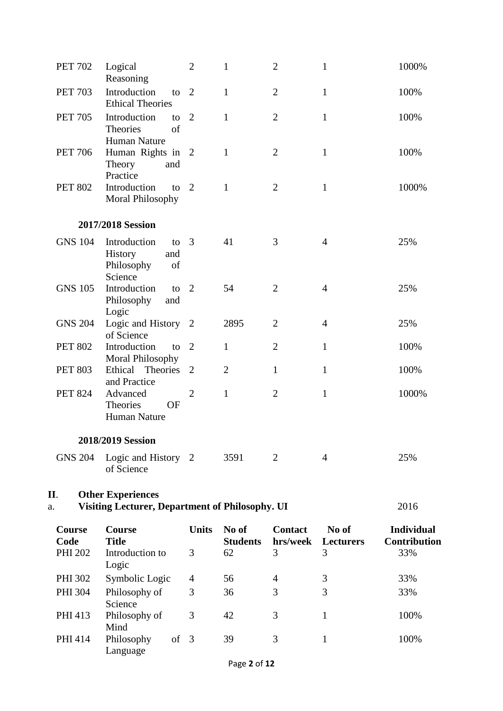| <b>PET 702</b> | Logical<br>Reasoning                                                               | $\overline{2}$ | 1                        | $\overline{2}$             | $\mathbf 1$               | 1000%                                    |
|----------------|------------------------------------------------------------------------------------|----------------|--------------------------|----------------------------|---------------------------|------------------------------------------|
| <b>PET 703</b> | Introduction<br>to<br><b>Ethical Theories</b>                                      | $\overline{2}$ | 1                        | $\overline{2}$             | $\mathbf{1}$              | 100%                                     |
| <b>PET 705</b> | Introduction<br>to<br>of<br>Theories                                               | 2              | $\mathbf{1}$             | $\overline{2}$             | $\mathbf{1}$              | 100%                                     |
| <b>PET 706</b> | Human Nature<br>Human Rights in 2<br>Theory<br>and                                 |                | 1                        | $\overline{2}$             | $\mathbf{1}$              | 100%                                     |
| <b>PET 802</b> | Practice<br>Introduction<br>to<br>Moral Philosophy                                 | $\overline{2}$ | $\mathbf{1}$             | $\overline{2}$             | $\mathbf{1}$              | 1000%                                    |
|                | 2017/2018 Session                                                                  |                |                          |                            |                           |                                          |
| <b>GNS 104</b> | Introduction<br>to<br>History<br>and<br>Philosophy<br>of<br>Science                | 3              | 41                       | 3                          | $\overline{4}$            | 25%                                      |
| <b>GNS 105</b> | Introduction<br>to<br>Philosophy<br>and<br>Logic                                   | 2              | 54                       | $\overline{2}$             | $\overline{4}$            | 25%                                      |
| <b>GNS 204</b> | Logic and History<br>of Science                                                    | 2              | 2895                     | $\overline{2}$             | $\overline{4}$            | 25%                                      |
| <b>PET 802</b> | Introduction<br>to<br>Moral Philosophy                                             | $\overline{2}$ | $\mathbf{1}$             | $\overline{2}$             | $\mathbf{1}$              | 100%                                     |
| <b>PET 803</b> | Ethical Theories<br>and Practice                                                   | 2              | $\overline{2}$           | 1                          | $\mathbf{1}$              | 100%                                     |
| <b>PET 824</b> | Advanced<br>Theories<br>OF<br><b>Human Nature</b>                                  | $\overline{2}$ | $\mathbf{1}$             | $\overline{2}$             | $\mathbf{1}$              | 1000%                                    |
|                | 2018/2019 Session                                                                  |                |                          |                            |                           |                                          |
| <b>GNS 204</b> | Logic and History 2<br>of Science                                                  |                | 3591                     | 2                          | $\overline{4}$            | 25%                                      |
| II.<br>a.      | <b>Other Experiences</b><br><b>Visiting Lecturer, Department of Philosophy. UI</b> |                |                          |                            |                           | 2016                                     |
| Course<br>Code | Course<br><b>Title</b>                                                             | <b>Units</b>   | No of<br><b>Students</b> | <b>Contact</b><br>hrs/week | No of<br><b>Lecturers</b> | <b>Individual</b><br><b>Contribution</b> |
| <b>PHI 202</b> | Introduction to<br>Logic                                                           | 3              | 62                       | 3                          | 3                         | 33%                                      |
| PHI 302        | Symbolic Logic                                                                     | 4              | 56                       | 4                          | 3                         | 33%                                      |
| <b>PHI 304</b> | Philosophy of<br>Science                                                           | 3              | 36                       | 3                          | 3                         | 33%                                      |
| PHI 413        | Philosophy of<br>Mind                                                              | 3              | 42                       | 3                          | $\mathbf{1}$              | 100%                                     |
| PHI 414        | Philosophy<br>of<br>Language                                                       | 3              | 39                       | 3                          | $\mathbf{1}$              | 100%                                     |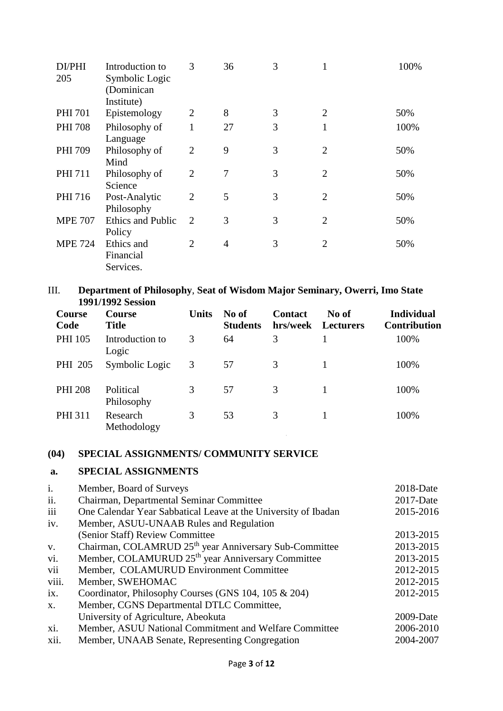| DI/PHI<br>205  | Introduction to<br>Symbolic Logic<br>(Dominican | 3              | 36 | 3 |                | 100% |
|----------------|-------------------------------------------------|----------------|----|---|----------------|------|
|                | Institute)                                      |                |    |   |                |      |
| <b>PHI 701</b> | Epistemology                                    | $\overline{2}$ | 8  | 3 | $\overline{2}$ | 50%  |
| <b>PHI 708</b> | Philosophy of<br>Language                       | 1              | 27 | 3 | 1              | 100% |
| <b>PHI 709</b> | Philosophy of<br>Mind                           | $\overline{2}$ | 9  | 3 | $\overline{2}$ | 50%  |
| <b>PHI 711</b> | Philosophy of<br>Science                        | $\overline{2}$ | 7  | 3 | $\overline{2}$ | 50%  |
| PHI 716        | Post-Analytic<br>Philosophy                     | $\overline{2}$ | 5  | 3 | $\overline{2}$ | 50%  |
| <b>MPE 707</b> | <b>Ethics and Public</b><br>Policy              | 2              | 3  | 3 | $\overline{2}$ | 50%  |
| <b>MPE 724</b> | Ethics and<br>Financial<br>Services.            | 2              | 4  | 3 | $\overline{2}$ | 50%  |

### III. **Department of Philosophy**, **Seat of Wisdom Major Seminary, Owerri, Imo State 1991/1992 Session**

| Course<br>Code | <b>Course</b><br><b>Title</b> | <b>Units</b> | No of<br><b>Students</b> | <b>Contact</b><br>hrs/week | No of<br><b>Lecturers</b> | <b>Individual</b><br><b>Contribution</b> |
|----------------|-------------------------------|--------------|--------------------------|----------------------------|---------------------------|------------------------------------------|
| <b>PHI 105</b> | Introduction to<br>Logic      | 3            | 64                       | 3                          |                           | 100%                                     |
| PHI 205        | Symbolic Logic                | 3            | 57                       | 3                          |                           | 100%                                     |
| <b>PHI 208</b> | Political<br>Philosophy       | 3            | 57                       | 3                          |                           | 100%                                     |
| <b>PHI 311</b> | Research<br>Methodology       | 3            | 53                       | 3                          |                           | 100%                                     |

# **(04) SPECIAL ASSIGNMENTS/ COMMUNITY SERVICE**

### **a. SPECIAL ASSIGNMENTS**

| Member, Board of Surveys                                       | $2018$ -Date                                                       |
|----------------------------------------------------------------|--------------------------------------------------------------------|
| Chairman, Departmental Seminar Committee                       | $2017$ -Date                                                       |
| One Calendar Year Sabbatical Leave at the University of Ibadan | 2015-2016                                                          |
| Member, ASUU-UNAAB Rules and Regulation                        |                                                                    |
| (Senior Staff) Review Committee                                | 2013-2015                                                          |
|                                                                | 2013-2015                                                          |
| Member, COLAMURUD 25 <sup>th</sup> year Anniversary Committee  | 2013-2015                                                          |
| Member, COLAMURUD Environment Committee                        | 2012-2015                                                          |
| Member, SWEHOMAC                                               | 2012-2015                                                          |
| Coordinator, Philosophy Courses (GNS 104, 105 & 204)           | 2012-2015                                                          |
| Member, CGNS Departmental DTLC Committee,                      |                                                                    |
| University of Agriculture, Abeokuta                            | $2009-Date$                                                        |
| Member, ASUU National Commitment and Welfare Committee         | 2006-2010                                                          |
| Member, UNAAB Senate, Representing Congregation                | 2004-2007                                                          |
|                                                                | Chairman, COLAMRUD 25 <sup>th</sup> year Anniversary Sub-Committee |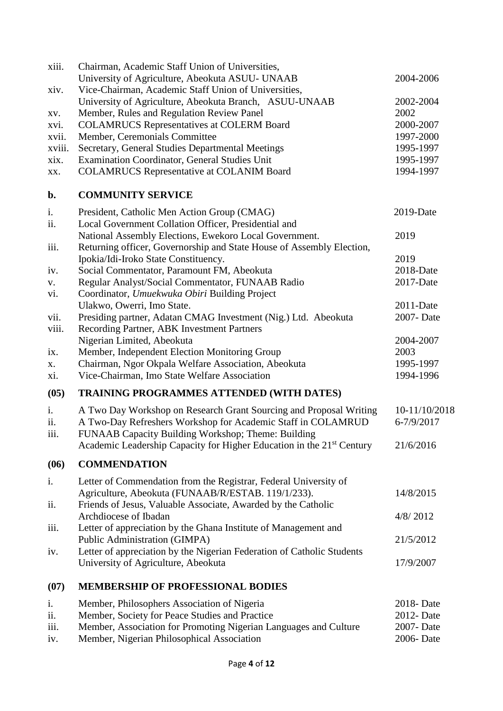| xiii.       | Chairman, Academic Staff Union of Universities,                                                   |                        |
|-------------|---------------------------------------------------------------------------------------------------|------------------------|
|             | University of Agriculture, Abeokuta ASUU- UNAAB                                                   | 2004-2006              |
| xiv.        | Vice-Chairman, Academic Staff Union of Universities,                                              |                        |
|             | University of Agriculture, Abeokuta Branch, ASUU-UNAAB                                            | 2002-2004<br>2002      |
| XV.         | Member, Rules and Regulation Review Panel<br><b>COLAMRUCS Representatives at COLERM Board</b>     | 2000-2007              |
| xvi.        |                                                                                                   |                        |
| xvii.       | Member, Ceremonials Committee                                                                     | 1997-2000              |
| xviii.      | Secretary, General Studies Departmental Meetings                                                  | 1995-1997              |
| xix.        | Examination Coordinator, General Studies Unit<br><b>COLAMRUCS Representative at COLANIM Board</b> | 1995-1997<br>1994-1997 |
| XX.         |                                                                                                   |                        |
| b.          | <b>COMMUNITY SERVICE</b>                                                                          |                        |
| i.          | President, Catholic Men Action Group (CMAG)                                                       | $2019$ -Date           |
| ii.         | Local Government Collation Officer, Presidential and                                              |                        |
|             | National Assembly Elections, Ewekoro Local Government.                                            | 2019                   |
| iii.        | Returning officer, Governorship and State House of Assembly Election,                             |                        |
|             | Ipokia/Idi-Iroko State Constituency.                                                              | 2019                   |
| iv.         | Social Commentator, Paramount FM, Abeokuta                                                        | 2018-Date              |
| ${\bf V}$ . | Regular Analyst/Social Commentator, FUNAAB Radio                                                  | 2017-Date              |
| vi.         | Coordinator, Umuekwuka Obiri Building Project                                                     |                        |
|             | Ulakwo, Owerri, Imo State.                                                                        | 2011-Date              |
| vii.        | Presiding partner, Adatan CMAG Investment (Nig.) Ltd. Abeokuta                                    | 2007-Date              |
| viii.       | Recording Partner, ABK Investment Partners                                                        |                        |
|             | Nigerian Limited, Abeokuta                                                                        | 2004-2007              |
| ix.         | Member, Independent Election Monitoring Group                                                     | 2003                   |
| X.          | Chairman, Ngor Okpala Welfare Association, Abeokuta                                               | 1995-1997              |
| xi.         | Vice-Chairman, Imo State Welfare Association                                                      | 1994-1996              |
| (05)        | <b>TRAINING PROGRAMMES ATTENDED (WITH DATES)</b>                                                  |                        |
| i.          | A Two Day Workshop on Research Grant Sourcing and Proposal Writing                                | 10-11/10/2018          |
| ii.         | A Two-Day Refreshers Workshop for Academic Staff in COLAMRUD                                      | 6-7/9/2017             |
| iii.        | FUNAAB Capacity Building Workshop; Theme: Building                                                |                        |
|             | Academic Leadership Capacity for Higher Education in the 21 <sup>st</sup> Century                 | 21/6/2016              |
| (06)        | <b>COMMENDATION</b>                                                                               |                        |
| i.          | Letter of Commendation from the Registrar, Federal University of                                  |                        |
|             | Agriculture, Abeokuta (FUNAAB/R/ESTAB. 119/1/233).                                                | 14/8/2015              |
| ii.         | Friends of Jesus, Valuable Associate, Awarded by the Catholic                                     |                        |
|             | Archdiocese of Ibadan                                                                             | 4/8/2012               |
| iii.        | Letter of appreciation by the Ghana Institute of Management and                                   |                        |
|             | Public Administration (GIMPA)                                                                     | 21/5/2012              |
| iv.         | Letter of appreciation by the Nigerian Federation of Catholic Students                            |                        |
|             | University of Agriculture, Abeokuta                                                               | 17/9/2007              |
| (07)        | <b>MEMBERSHIP OF PROFESSIONAL BODIES</b>                                                          |                        |
| i.          | Member, Philosophers Association of Nigeria                                                       | 2018-Date              |
| ii.         | Member, Society for Peace Studies and Practice                                                    | 2012- Date             |
| iii.        | Member, Association for Promoting Nigerian Languages and Culture                                  | 2007-Date              |
| iv.         | Member, Nigerian Philosophical Association                                                        | 2006- Date             |
|             |                                                                                                   |                        |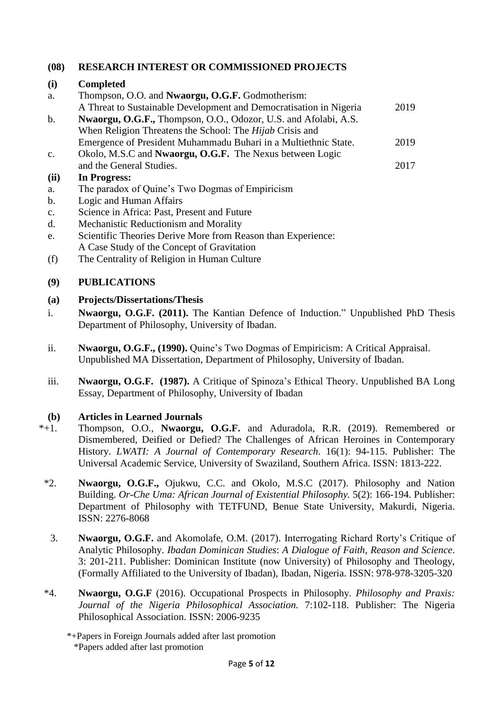# **(08) RESEARCH INTEREST OR COMMISSIONED PROJECTS**

### **(i) Completed**

| a.             | Thompson, O.O. and <b>Nwaorgu, O.G.F.</b> Godmotherism:                |      |
|----------------|------------------------------------------------------------------------|------|
|                | A Threat to Sustainable Development and Democratisation in Nigeria     | 2019 |
| $\mathbf b$ .  | <b>Nwaorgu, O.G.F., Thompson, O.O., Odozor, U.S. and Afolabi, A.S.</b> |      |
|                | When Religion Threatens the School: The <i>Hijab</i> Crisis and        |      |
|                | Emergence of President Muhammadu Buhari in a Multiethnic State.        | 2019 |
| $\mathbf{c}$ . | Okolo, M.S.C and <b>Nwaorgu, O.G.F.</b> The Nexus between Logic        |      |
|                | and the General Studies.                                               | 2017 |
| (ii)           | In Progress:                                                           |      |
| a.             | The paradox of Quine's Two Dogmas of Empiricism                        |      |
| $\mathbf b$ .  | Logic and Human Affairs                                                |      |
| $\mathbf{c}$ . | Science in Africa: Past, Present and Future                            |      |

- d. Mechanistic Reductionism and Morality
- e. Scientific Theories Derive More from Reason than Experience: A Case Study of the Concept of Gravitation
- (f) The Centrality of Religion in Human Culture

### **(9) PUBLICATIONS**

### **(a) Projects/Dissertations/Thesis**

- i. **Nwaorgu, O.G.F. (2011).** The Kantian Defence of Induction." Unpublished PhD Thesis Department of Philosophy, University of Ibadan.
- ii. **Nwaorgu, O.G.F., (1990).** Quine's Two Dogmas of Empiricism: A Critical Appraisal. Unpublished MA Dissertation, Department of Philosophy, University of Ibadan.
- iii. **Nwaorgu, O.G.F. (1987).** A Critique of Spinoza's Ethical Theory. Unpublished BA Long Essay, Department of Philosophy, University of Ibadan

# **(b)** Articles in Learned Journals<br>\*+1 Thompson, O.O., Nwaorgu.

- Thompson, O.O., **Nwaorgu, O.G.F.** and Aduradola, R.R. (2019). Remembered or Dismembered, Deified or Defied? The Challenges of African Heroines in Contemporary History. *LWATI: A Journal of Contemporary Research*. 16(1): 94-115. Publisher: The Universal Academic Service, University of Swaziland, Southern Africa. ISSN: 1813-222.
- \*2. **Nwaorgu, O.G.F.,** Ojukwu, C.C. and Okolo, M.S.C (2017). Philosophy and Nation Building. *Or-Che Uma: African Journal of Existential Philosophy.* 5(2): 166-194. Publisher: Department of Philosophy with TETFUND, Benue State University, Makurdi, Nigeria. ISSN: 2276-8068
- 3. **Nwaorgu, O.G.F.** and Akomolafe, O.M. (2017). Interrogating Richard Rorty's Critique of Analytic Philosophy. *Ibadan Dominican Studies*: *A Dialogue of Faith, Reason and Science*. 3: 201-211. Publisher: Dominican Institute (now University) of Philosophy and Theology, (Formally Affiliated to the University of Ibadan), Ibadan, Nigeria. ISSN: 978-978-3205-320
- \*4. **Nwaorgu, O.G.F** (2016). Occupational Prospects in Philosophy. *Philosophy and Praxis: Journal of the Nigeria Philosophical Association.* 7:102-118. Publisher: The Nigeria Philosophical Association. ISSN: 2006-9235

<sup>\*+</sup>Papers in Foreign Journals added after last promotion \*Papers added after last promotion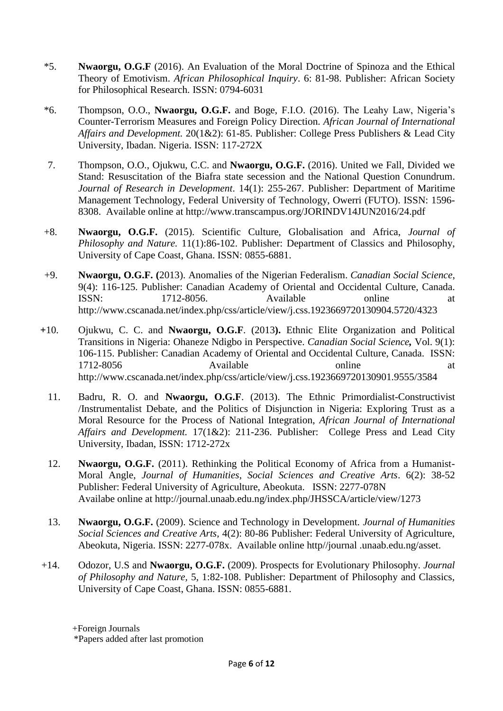- \*5. **Nwaorgu, O.G.F** (2016). An Evaluation of the Moral Doctrine of Spinoza and the Ethical Theory of Emotivism. *African Philosophical Inquiry*. 6: 81-98. Publisher: African Society for Philosophical Research. ISSN: 0794-6031
- \*6. Thompson, O.O., **Nwaorgu, O.G.F.** and Boge, F.I.O. (2016). The Leahy Law, Nigeria's Counter-Terrorism Measures and Foreign Policy Direction. *African Journal of International Affairs and Development.* 20(1&2): 61-85. Publisher: College Press Publishers & Lead City University, Ibadan. Nigeria. ISSN: 117-272X
- 7. Thompson, O.O., Ojukwu, C.C. and **Nwaorgu, O.G.F.** (2016). United we Fall, Divided we Stand: Resuscitation of the Biafra state secession and the National Question Conundrum. *Journal of Research in Development*. 14(1): 255-267. Publisher: Department of Maritime Management Technology, Federal University of Technology, Owerri (FUTO). ISSN: 1596- 8308. Available online at http://www.transcampus.org/JORINDV14JUN2016/24.pdf
- +8. **Nwaorgu, O.G.F.** (2015). Scientific Culture, Globalisation and Africa, *Journal of Philosophy and Nature.* 11(1):86-102. Publisher: Department of Classics and Philosophy, University of Cape Coast, Ghana. ISSN: 0855-6881.
- +9. **Nwaorgu, O.G.F. (**2013). Anomalies of the Nigerian Federalism. *Canadian Social Science*, 9(4): 116-125. Publisher: Canadian Academy of Oriental and Occidental Culture, Canada. ISSN: 1712-8056. Available online at <http://www.cscanada.net/index.php/css/article/view/j.css.1923669720130904.5720/4323>
- **+**10. Ojukwu, C. C. and **Nwaorgu, O.G.F**. (2013**).** Ethnic Elite Organization and Political Transitions in Nigeria: Ohaneze Ndigbo in Perspective. *Canadian Social Science,* Vol. 9(1): 106-115. Publisher: Canadian Academy of Oriental and Occidental Culture, Canada. ISSN: 1712-8056 Available online at <http://www.cscanada.net/index.php/css/article/view/j.css.1923669720130901.9555/3584>
	- 11. Badru, R. O. and **Nwaorgu, O.G.F**. (2013). The Ethnic Primordialist-Constructivist /Instrumentalist Debate, and the Politics of Disjunction in Nigeria: Exploring Trust as a Moral Resource for the Process of National Integration, *African Journal of International Affairs and Development.* 17(1&2): 211-236. Publisher: College Press and Lead City University, Ibadan, ISSN: 1712-272x
	- 12. **Nwaorgu, O.G.F.** (2011). Rethinking the Political Economy of Africa from a Humanist-Moral Angle, *Journal of Humanities*, *Social Sciences and Creative Arts*. 6(2): 38-52 Publisher: Federal University of Agriculture, Abeokuta. ISSN: 2277-078N Availabe online at <http://journal.unaab.edu.ng/index.php/JHSSCA/article/view/1273>
	- 13. **Nwaorgu, O.G.F.** (2009). Science and Technology in Development. *Journal of Humanities Social Sciences and Creative Arts,* 4(2): 80-86 Publisher: Federal University of Agriculture, Abeokuta, Nigeria. ISSN: 2277-078x. Available online http//journal .unaab.edu.ng/asset.
- +14. Odozor, U.S and **Nwaorgu, O.G.F.** (2009). Prospects for Evolutionary Philosophy. *Journal of Philosophy and Nature,* 5, 1:82-108. Publisher: Department of Philosophy and Classics, University of Cape Coast, Ghana. ISSN: 0855-6881.

+Foreign Journals

 <sup>\*</sup>Papers added after last promotion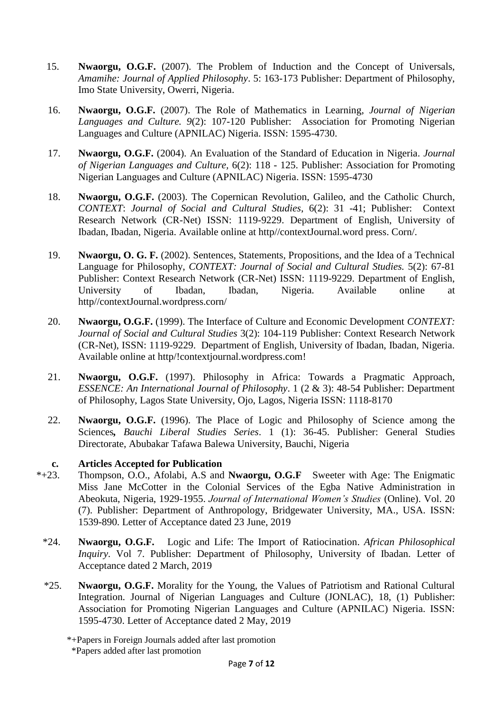- 15. **Nwaorgu, O.G.F.** (2007). The Problem of Induction and the Concept of Universals, *Amamihe: Journal of Applied Philosophy*. 5: 163-173 Publisher: Department of Philosophy, Imo State University, Owerri, Nigeria.
- 16. **Nwaorgu, O.G.F.** (2007). The Role of Mathematics in Learning, *Journal of Nigerian Languages and Culture. 9*(2): 107-120 Publisher: Association for Promoting Nigerian Languages and Culture (APNILAC) Nigeria. ISSN: 1595-4730.
- 17. **Nwaorgu, O.G.F.** (2004). An Evaluation of the Standard of Education in Nigeria. *Journal of Nigerian Languages and Culture,* 6(2): 118 - 125. Publisher: Association for Promoting Nigerian Languages and Culture (APNILAC) Nigeria. ISSN: 1595-4730
- 18. **Nwaorgu, O.G.F.** (2003). The Copernican Revolution, Galileo, and the Catholic Church, *CONTEXT*: *Journal of Social and Cultural Studies*, 6(2): 31 -41; Publisher: Context Research Network (CR-Net) ISSN: 1119-9229. Department of English, University of Ibadan, Ibadan, Nigeria. Available online at http//contextJournal.word press. Corn/.
- 19. **Nwaorgu, O. G. F.** (2002). Sentences, Statements, Propositions, and the Idea of a Technical Language for Philosophy, *CONTEXT: Journal of Social and Cultural Studies.* 5(2): 67-81 Publisher: Context Research Network (CR-Net) ISSN: 1119-9229. Department of English, University of Ibadan, Ibadan, Nigeria. Available online at http//contextJournal.wordpress.corn/
- 20. **Nwaorgu, O.G.F.** (1999). The Interface of Culture and Economic Development *CONTEXT: Journal of Social and Cultural Studies* 3(2): 104-119 Publisher: Context Research Network (CR-Net), ISSN: 1119-9229. Department of English, University of Ibadan, Ibadan, Nigeria. Available online at http/!contextjournal.wordpress.com!
- 21. **Nwaorgu, O.G.F.** (1997). Philosophy in Africa: Towards a Pragmatic Approach, *ESSENCE: An International Journal of Philosophy*. 1 (2 & 3): 48-54 Publisher: Department of Philosophy, Lagos State University, Ojo, Lagos, Nigeria ISSN: 1118-8170
- 22. **Nwaorgu, O.G.F.** (1996). The Place of Logic and Philosophy of Science among the Sciences*, Bauchi Liberal Studies Series*. 1 (1): 36-45. Publisher: General Studies Directorate, Abubakar Tafawa Balewa University, Bauchi, Nigeria

### **c. Articles Accepted for Publication**

- \*+23. Thompson, O.O., Afolabi, A.S and **Nwaorgu, O.G.F** Sweeter with Age: The Enigmatic Miss Jane McCotter in the Colonial Services of the Egba Native Administration in Abeokuta, Nigeria, 1929-1955. *Journal of International Women's Studies* (Online). Vol. 20 (7). Publisher: Department of Anthropology, Bridgewater University, MA., USA. ISSN: 1539-890. Letter of Acceptance dated 23 June, 2019
	- \*24. **Nwaorgu, O.G.F.** Logic and Life: The Import of Ratiocination. *African Philosophical Inquiry*. Vol 7. Publisher: Department of Philosophy, University of Ibadan. Letter of Acceptance dated 2 March, 2019
	- \*25. **Nwaorgu, O.G.F.** Morality for the Young, the Values of Patriotism and Rational Cultural Integration. Journal of Nigerian Languages and Culture (JONLAC), 18, (1) Publisher: Association for Promoting Nigerian Languages and Culture (APNILAC) Nigeria. ISSN: 1595-4730. Letter of Acceptance dated 2 May, 2019
		- \*+Papers in Foreign Journals added after last promotion \*Papers added after last promotion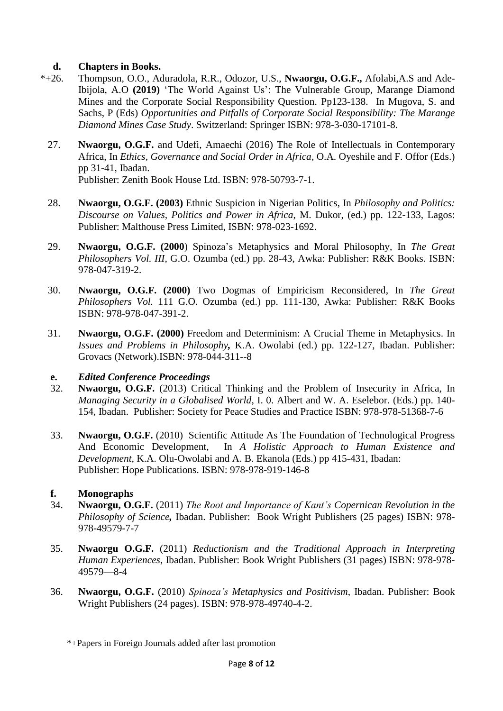# **d. Chapters in Books.**<br>\*+26. **Thompson, O.O., Ad.**

- Thompson, O.O., Aduradola, R.R., Odozor, U.S., **Nwaorgu, O.G.F.,** Afolabi,A.S and Ade-Ibijola, A.O **(2019)** 'The World Against Us': The Vulnerable Group, Marange Diamond Mines and the Corporate Social Responsibility Question. Pp123-138. In Mugova, S. and Sachs, P (Eds) *Opportunities and Pitfalls of Corporate Social Responsibility: The Marange Diamond Mines Case Study*. Switzerland: Springer ISBN: 978-3-030-17101-8.
- 27. **Nwaorgu, O.G.F.** and Udefi, Amaechi (2016) The Role of Intellectuals in Contemporary Africa, In *Ethics, Governance and Social Order in Africa*, O.A. Oyeshile and F. Offor (Eds.) pp 31-41, Ibadan. Publisher: Zenith Book House Ltd. ISBN: 978-50793-7-1.
- 28. **Nwaorgu, O.G.F. (2003)** Ethnic Suspicion in Nigerian Politics, In *Philosophy and Politics: Discourse on Values, Politics and Power in Africa*, M. Dukor, (ed.) pp. 122-133, Lagos: Publisher: Malthouse Press Limited, ISBN: 978-023-1692.
- 29. **Nwaorgu, O.G.F. (2000**) Spinoza's Metaphysics and Moral Philosophy, In *The Great Philosophers Vol. III*, G.O. Ozumba (ed.) pp. 28-43, Awka: Publisher: R&K Books. ISBN: 978-047-319-2.
- 30. **Nwaorgu, O.G.F. (2000)** Two Dogmas of Empiricism Reconsidered, In *The Great Philosophers Vol.* 111 G.O. Ozumba (ed.) pp. 111-130, Awka: Publisher: R&K Books ISBN: 978-978-047-391-2.
- 31. **Nwaorgu, O.G.F. (2000)** Freedom and Determinism: A Crucial Theme in Metaphysics. In *Issues and Problems in Philosophy,* K.A. Owolabi (ed.) pp. 122-127, Ibadan. Publisher: Grovacs (Network).ISBN: 978-044-311--8

### **e.** *Edited Conference Proceedings*

- 32. **Nwaorgu, O.G.F.** (2013) Critical Thinking and the Problem of Insecurity in Africa, In *Managing Security in a Globalised World*, I. 0. Albert and W. A. Eselebor. (Eds.) pp. 140- 154, Ibadan. Publisher: Society for Peace Studies and Practice ISBN: 978-978-51368-7-6
- 33. **Nwaorgu, O.G.F.** (2010) Scientific Attitude As The Foundation of Technological Progress And Economic Development, In *A Holistic Approach to Human Existence and Development,* K.A. Olu-Owolabi and A. B. Ekanola (Eds.) pp 415-431, Ibadan: Publisher: Hope Publications. ISBN: 978-978-919-146-8

# **f. Monograph***s*

- 34. **Nwaorgu, O.G.F.** (2011) *The Root and Importance of Kant's Copernican Revolution in the Philosophy of Science,* Ibadan. Publisher: Book Wright Publishers (25 pages) ISBN: 978- 978-49579-7-7
- 35. **Nwaorgu O.G.F.** (2011) *Reductionism and the Traditional Approach in Interpreting Human Experiences*, Ibadan. Publisher: Book Wright Publishers (31 pages) ISBN: 978-978- 49579—8-4
- 36. **Nwaorgu, O.G.F.** (2010) *Spinoza's Metaphysics and Positivism*, Ibadan. Publisher: Book Wright Publishers (24 pages). ISBN: 978-978-49740-4-2.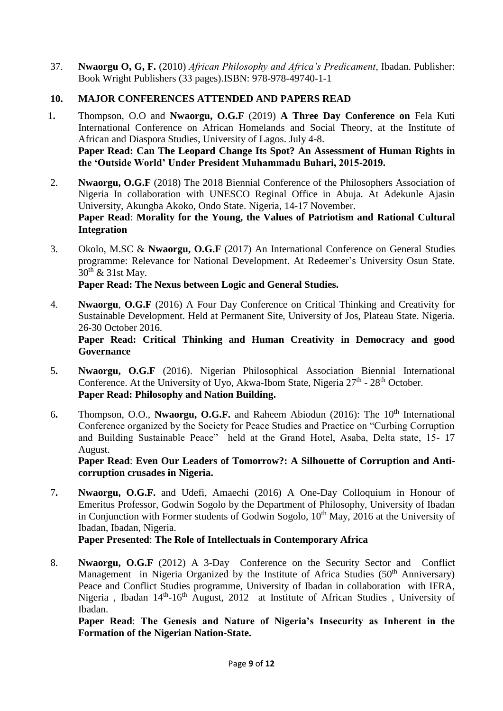37. **Nwaorgu O, G, F.** (2010) *African Philosophy and Africa's Predicament*, Ibadan. Publisher: Book Wright Publishers (33 pages).ISBN: 978-978-49740-1-1

# **10. MAJOR CONFERENCES ATTENDED AND PAPERS READ**

- 1**.** Thompson, O.O and **Nwaorgu, O.G.F** (2019) **A Three Day Conference on** Fela Kuti International Conference on African Homelands and Social Theory, at the Institute of African and Diaspora Studies, University of Lagos. July 4-8. **Paper Read: Can The Leopard Change Its Spot? An Assessment of Human Rights in the 'Outside World' Under President Muhammadu Buhari, 2015-2019.**
- 2. **Nwaorgu, O.G.F** (2018) The 2018 Biennial Conference of the Philosophers Association of Nigeria In collaboration with UNESCO Reginal Office in Abuja. At Adekunle Ajasin University, Akungba Akoko, Ondo State. Nigeria, 14-17 November. **Paper Read**: **Morality for the Young, the Values of Patriotism and Rational Cultural Integration**
- 3. Okolo, M.SC & **Nwaorgu, O.G.F** (2017) An International Conference on General Studies programme: Relevance for National Development. At Redeemer's University Osun State.  $30^{th}$  & 31st May.

**Paper Read: The Nexus between Logic and General Studies.** 

4. **Nwaorgu**, **O.G.F** (2016) A Four Day Conference on Critical Thinking and Creativity for Sustainable Development. Held at Permanent Site, University of Jos, Plateau State. Nigeria. 26-30 October 2016.

**Paper Read: Critical Thinking and Human Creativity in Democracy and good Governance**

- 5**. Nwaorgu, O.G.F** (2016). Nigerian Philosophical Association Biennial International Conference. At the University of Uyo, Akwa-Ibom State, Nigeria  $27<sup>th</sup>$  -  $28<sup>th</sup>$  October. **Paper Read: Philosophy and Nation Building.**
- 6**.** Thompson, O.O., **Nwaorgu, O.G.F.** and Raheem Abiodun (2016): The 10th International Conference organized by the Society for Peace Studies and Practice on "Curbing Corruption and Building Sustainable Peace" held at the Grand Hotel, Asaba, Delta state, 15- 17 August.

**Paper Read**: **Even Our Leaders of Tomorrow?: A Silhouette of Corruption and Anticorruption crusades in Nigeria.**

7**. Nwaorgu, O.G.F.** and Udefi, Amaechi (2016) A One-Day Colloquium in Honour of Emeritus Professor, Godwin Sogolo by the Department of Philosophy, University of Ibadan in Conjunction with Former students of Godwin Sogolo,  $10<sup>th</sup>$  May, 2016 at the University of Ibadan, Ibadan, Nigeria.

**Paper Presented**: **The Role of Intellectuals in Contemporary Africa**

8. **Nwaorgu, O.G.F** (2012) A 3-Day Conference on the Security Sector and Conflict Management in Nigeria Organized by the Institute of Africa Studies  $(50<sup>th</sup>$  Anniversary) Peace and Conflict Studies programme, University of Ibadan in collaboration with IFRA, Nigeria, Ibadan  $14<sup>th</sup>$ -16<sup>th</sup> August, 2012 at Institute of African Studies, University of Ibadan.

**Paper Read**: **The Genesis and Nature of Nigeria's Insecurity as Inherent in the Formation of the Nigerian Nation-State.**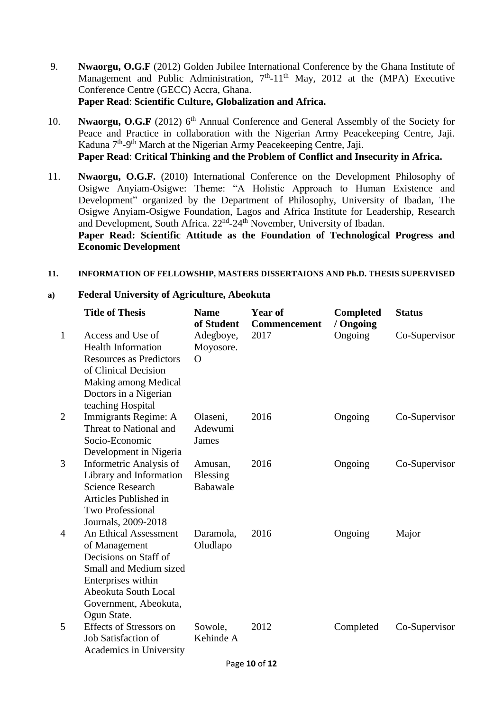- 9. **Nwaorgu, O.G.F** (2012) Golden Jubilee International Conference by the Ghana Institute of Management and Public Administration,  $7<sup>th</sup>$ -11<sup>th</sup> May, 2012 at the (MPA) Executive Conference Centre (GECC) Accra, Ghana. **Paper Read**: **Scientific Culture, Globalization and Africa.**
- 10. **Nwaorgu, O.G.F** (2012) 6<sup>th</sup> Annual Conference and General Assembly of the Society for Peace and Practice in collaboration with the Nigerian Army Peacekeeping Centre, Jaji. Kaduna 7<sup>th</sup>-9<sup>th</sup> March at the Nigerian Army Peacekeeping Centre, Jaji. **Paper Read**: **Critical Thinking and the Problem of Conflict and Insecurity in Africa.**
- 11. **Nwaorgu, O.G.F.** (2010) International Conference on the Development Philosophy of Osigwe Anyiam-Osigwe: Theme: "A Holistic Approach to Human Existence and Development" organized by the Department of Philosophy, University of Ibadan, The Osigwe Anyiam-Osigwe Foundation, Lagos and Africa Institute for Leadership, Research and Development, South Africa. 22<sup>nd</sup>-24<sup>th</sup> November, University of Ibadan. **Paper Read: Scientific Attitude as the Foundation of Technological Progress and**

**Economic Development**

### **11. INFORMATION OF FELLOWSHIP, MASTERS DISSERTAIONS AND Ph.D. THESIS SUPERVISED**

#### **a) Federal University of Agriculture, Abeokuta**

|                | <b>Title of Thesis</b>                                                                                                                                                                 | <b>Name</b><br>of Student       | <b>Year of</b><br><b>Commencement</b> | <b>Completed</b><br>/ Ongoing | <b>Status</b> |
|----------------|----------------------------------------------------------------------------------------------------------------------------------------------------------------------------------------|---------------------------------|---------------------------------------|-------------------------------|---------------|
| $\mathbf{1}$   | Access and Use of<br><b>Health Information</b><br><b>Resources as Predictors</b><br>of Clinical Decision<br>Making among Medical<br>Doctors in a Nigerian<br>teaching Hospital         | Adegboye,<br>Moyosore.<br>O     | 2017                                  | Ongoing                       | Co-Supervisor |
| $\overline{2}$ | Immigrants Regime: A<br>Threat to National and<br>Socio-Economic<br>Development in Nigeria                                                                                             | Olaseni,<br>Adewumi<br>James    | 2016                                  | Ongoing                       | Co-Supervisor |
| 3              | Informetric Analysis of<br>Library and Information<br><b>Science Research</b><br>Articles Published in<br><b>Two Professional</b><br>Journals, 2009-2018                               | Amusan,<br>Blessing<br>Babawale | 2016                                  | Ongoing                       | Co-Supervisor |
| $\overline{4}$ | <b>An Ethical Assessment</b><br>of Management<br>Decisions on Staff of<br>Small and Medium sized<br>Enterprises within<br>Abeokuta South Local<br>Government, Abeokuta,<br>Ogun State. | Daramola,<br>Oludlapo           | 2016                                  | Ongoing                       | Major         |
| 5              | <b>Effects of Stressors on</b><br>Job Satisfaction of<br>Academics in University                                                                                                       | Sowole,<br>Kehinde A            | 2012                                  | Completed                     | Co-Supervisor |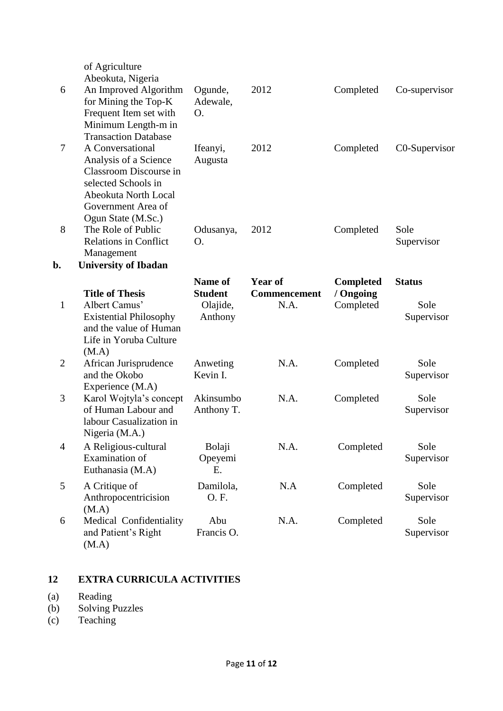| 6              | of Agriculture<br>Abeokuta, Nigeria<br>An Improved Algorithm<br>for Mining the Top-K<br>Frequent Item set with<br>Minimum Length-m in                                                         | Ogunde,<br>Adewale,<br>Ο.                        | 2012                                   | Completed                                  | Co-supervisor                       |
|----------------|-----------------------------------------------------------------------------------------------------------------------------------------------------------------------------------------------|--------------------------------------------------|----------------------------------------|--------------------------------------------|-------------------------------------|
| 7              | <b>Transaction Database</b><br>A Conversational<br>Analysis of a Science<br>Classroom Discourse in<br>selected Schools in<br>Abeokuta North Local<br>Government Area of<br>Ogun State (M.Sc.) | Ifeanyi,<br>Augusta                              | 2012                                   | Completed                                  | C0-Supervisor                       |
| 8              | The Role of Public<br><b>Relations in Conflict</b><br>Management                                                                                                                              | Odusanya,<br>O.                                  | 2012                                   | Completed                                  | Sole<br>Supervisor                  |
| b.             | <b>University of Ibadan</b>                                                                                                                                                                   |                                                  |                                        |                                            |                                     |
| $\mathbf{1}$   | <b>Title of Thesis</b><br>Albert Camus'<br><b>Existential Philosophy</b><br>and the value of Human<br>Life in Yoruba Culture<br>(M.A)                                                         | Name of<br><b>Student</b><br>Olajide,<br>Anthony | Year of<br><b>Commencement</b><br>N.A. | <b>Completed</b><br>/ Ongoing<br>Completed | <b>Status</b><br>Sole<br>Supervisor |
| $\overline{c}$ | African Jurisprudence<br>and the Okobo<br>Experience (M.A)                                                                                                                                    | Anweting<br>Kevin I.                             | N.A.                                   | Completed                                  | Sole<br>Supervisor                  |
| 3              | Karol Wojtyla's concept<br>of Human Labour and<br>labour Casualization in<br>Nigeria (M.A.)                                                                                                   | Akinsumbo<br>Anthony T.                          | N.A.                                   | Completed                                  | Sole<br>Supervisor                  |
| $\overline{4}$ | A Religious-cultural<br>Examination of<br>Euthanasia (M.A)                                                                                                                                    | Bolaji<br>Opeyemi<br>Ε.                          | N.A.                                   | Completed                                  | Sole<br>Supervisor                  |
| 5              | A Critique of<br>Anthropocentricision<br>(M.A)                                                                                                                                                | Damilola,<br>O.F.                                | N.A                                    | Completed                                  | Sole<br>Supervisor                  |
| 6              | Medical Confidentiality<br>and Patient's Right<br>(M.A)                                                                                                                                       | Abu<br>Francis O.                                | N.A.                                   | Completed                                  | Sole<br>Supervisor                  |

# **12 EXTRA CURRICULA ACTIVITIES**

- (a) Reading
- (b) Solving Puzzles
- (c) Teaching